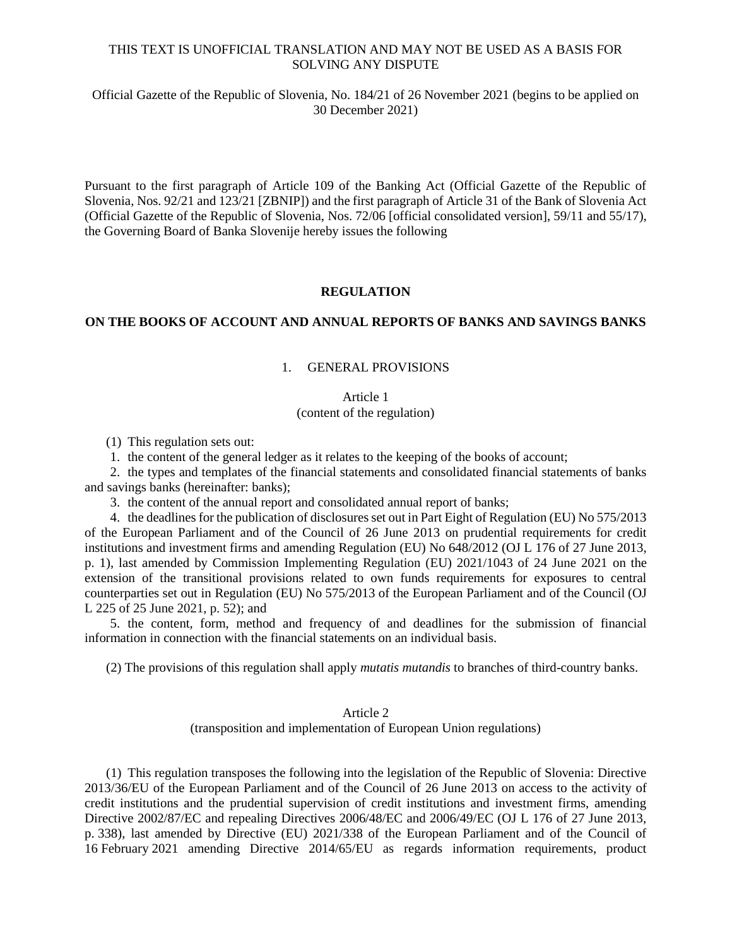## THIS TEXT IS UNOFFICIAL TRANSLATION AND MAY NOT BE USED AS A BASIS FOR SOLVING ANY DISPUTE

Official Gazette of the Republic of Slovenia, No. 184/21 of 26 November 2021 (begins to be applied on 30 December 2021)

Pursuant to the first paragraph of Article 109 of the Banking Act (Official Gazette of the Republic of Slovenia, Nos. 92/21 and 123/21 [ZBNIP]) and the first paragraph of Article 31 of the Bank of Slovenia Act (Official Gazette of the Republic of Slovenia, Nos. 72/06 [official consolidated version], 59/11 and 55/17), the Governing Board of Banka Slovenije hereby issues the following

## **REGULATION**

### **ON THE BOOKS OF ACCOUNT AND ANNUAL REPORTS OF BANKS AND SAVINGS BANKS**

# 1. GENERAL PROVISIONS

# Article 1 (content of the regulation)

(1) This regulation sets out:

1. the content of the general ledger as it relates to the keeping of the books of account;

2. the types and templates of the financial statements and consolidated financial statements of banks and savings banks (hereinafter: banks);

3. the content of the annual report and consolidated annual report of banks;

4. the deadlines for the publication of disclosures set out in Part Eight of Regulation (EU) No 575/2013 of the European Parliament and of the Council of 26 June 2013 on prudential requirements for credit institutions and investment firms and amending Regulation (EU) No 648/2012 (OJ L 176 of 27 June 2013, p. 1), last amended by Commission Implementing Regulation (EU) 2021/1043 of 24 June 2021 on the extension of the transitional provisions related to own funds requirements for exposures to central counterparties set out in Regulation (EU) No 575/2013 of the European Parliament and of the Council (OJ L 225 of 25 June 2021, p. 52); and

5. the content, form, method and frequency of and deadlines for the submission of financial information in connection with the financial statements on an individual basis.

(2) The provisions of this regulation shall apply *mutatis mutandis* to branches of third-country banks.

# Article 2

(transposition and implementation of European Union regulations)

(1) This regulation transposes the following into the legislation of the Republic of Slovenia: Directive 2013/36/EU of the European Parliament and of the Council of 26 June 2013 on access to the activity of credit institutions and the prudential supervision of credit institutions and investment firms, amending Directive 2002/87/EC and repealing Directives 2006/48/EC and 2006/49/EC (OJ L 176 of 27 June 2013, p. 338), last amended by Directive (EU) 2021/338 of the European Parliament and of the Council of 16 February 2021 amending Directive 2014/65/EU as regards information requirements, product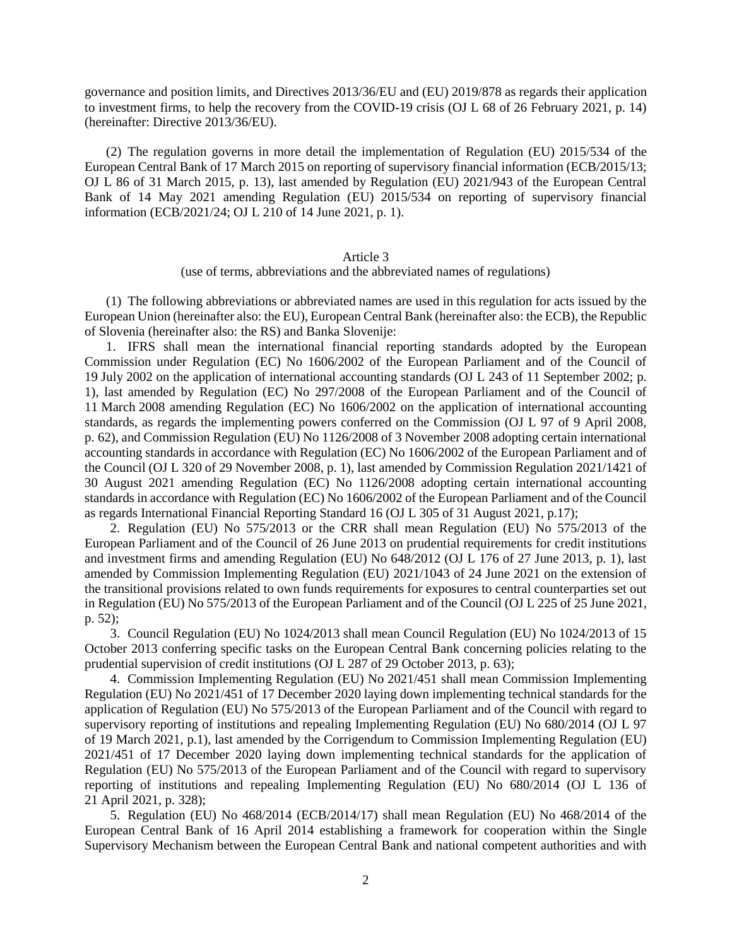governance and position limits, and Directives 2013/36/EU and (EU) 2019/878 as regards their application to investment firms, to help the recovery from the COVID-19 crisis (OJ L 68 of 26 February 2021, p. 14) (hereinafter: Directive 2013/36/EU).

(2) The regulation governs in more detail the implementation of Regulation (EU) 2015/534 of the European Central Bank of 17 March 2015 on reporting of supervisory financial information (ECB/2015/13; OJ L 86 of 31 March 2015, p. 13), last amended by Regulation (EU) 2021/943 of the European Central Bank of 14 May 2021 amending Regulation (EU) 2015/534 on reporting of supervisory financial information (ECB/2021/24; OJ L 210 of 14 June 2021, p. 1).

### Article 3

(use of terms, abbreviations and the abbreviated names of regulations)

(1) The following abbreviations or abbreviated names are used in this regulation for acts issued by the European Union (hereinafter also: the EU), European Central Bank (hereinafter also: the ECB), the Republic of Slovenia (hereinafter also: the RS) and Banka Slovenije:

1. IFRS shall mean the international financial reporting standards adopted by the European Commission under Regulation (EC) No 1606/2002 of the European Parliament and of the Council of 19 July 2002 on the application of international accounting standards (OJ L 243 of 11 September 2002; p. 1), last amended by Regulation (EC) No 297/2008 of the European Parliament and of the Council of 11 March 2008 amending Regulation (EC) No 1606/2002 on the application of international accounting standards, as regards the implementing powers conferred on the Commission (OJ L 97 of 9 April 2008, p. 62), and Commission Regulation (EU) No 1126/2008 of 3 November 2008 adopting certain international accounting standards in accordance with Regulation (EC) No 1606/2002 of the European Parliament and of the Council (OJ L 320 of 29 November 2008, p. 1), last amended by Commission Regulation 2021/1421 of 30 August 2021 amending Regulation (EC) No 1126/2008 adopting certain international accounting standards in accordance with Regulation (EC) No 1606/2002 of the European Parliament and of the Council as regards International Financial Reporting Standard 16 (OJ L 305 of 31 August 2021, p.17);

2. Regulation (EU) No 575/2013 or the CRR shall mean Regulation (EU) No 575/2013 of the European Parliament and of the Council of 26 June 2013 on prudential requirements for credit institutions and investment firms and amending Regulation (EU) No 648/2012 (OJ L 176 of 27 June 2013, p. 1), last amended by Commission Implementing Regulation (EU) 2021/1043 of 24 June 2021 on the extension of the transitional provisions related to own funds requirements for exposures to central counterparties set out in Regulation (EU) No 575/2013 of the European Parliament and of the Council (OJ L 225 of 25 June 2021, p. 52);

3. Council Regulation (EU) No 1024/2013 shall mean Council Regulation (EU) No 1024/2013 of 15 October 2013 conferring specific tasks on the European Central Bank concerning policies relating to the prudential supervision of credit institutions (OJ L 287 of 29 October 2013, p. 63);

4. Commission Implementing Regulation (EU) No 2021/451 shall mean Commission Implementing Regulation (EU) No 2021/451 of 17 December 2020 laying down implementing technical standards for the application of Regulation (EU) No 575/2013 of the European Parliament and of the Council with regard to supervisory reporting of institutions and repealing Implementing Regulation (EU) No 680/2014 (OJ L 97 of 19 March 2021, p.1), last amended by the Corrigendum to Commission Implementing Regulation (EU) 2021/451 of 17 December 2020 laying down implementing technical standards for the application of Regulation (EU) No 575/2013 of the European Parliament and of the Council with regard to supervisory reporting of institutions and repealing Implementing Regulation (EU) No 680/2014 (OJ L 136 of 21 April 2021, p. 328);

5. Regulation (EU) No 468/2014 (ECB/2014/17) shall mean Regulation (EU) No 468/2014 of the European Central Bank of 16 April 2014 establishing a framework for cooperation within the Single Supervisory Mechanism between the European Central Bank and national competent authorities and with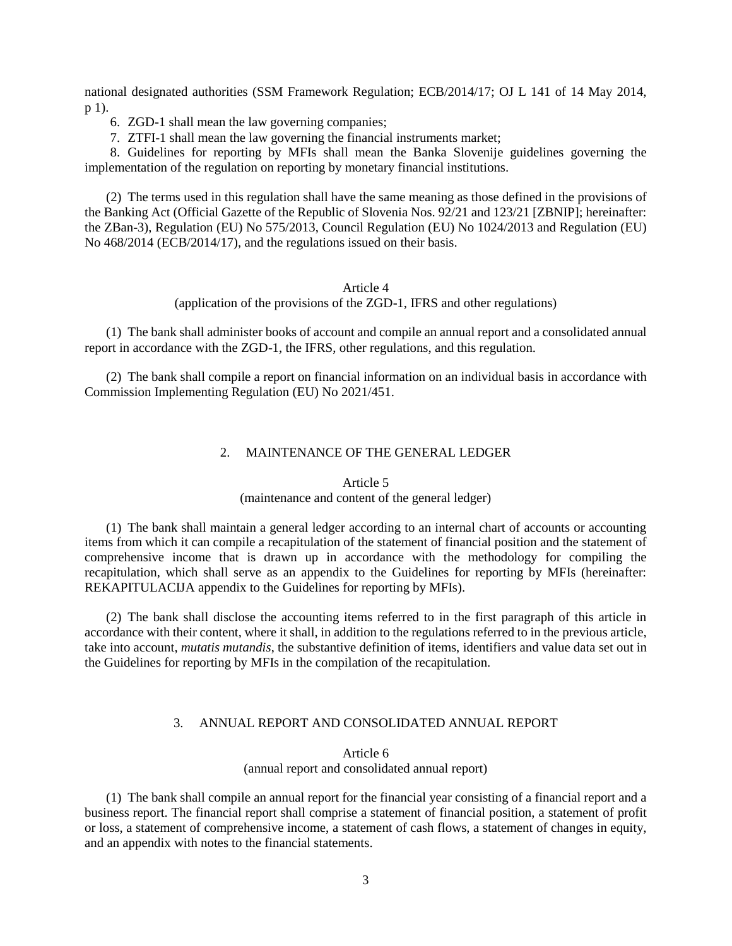national designated authorities (SSM Framework Regulation; ECB/2014/17; OJ L 141 of 14 May 2014, p 1).

- 6. ZGD-1 shall mean the law governing companies;
- 7. ZTFI-1 shall mean the law governing the financial instruments market;

8. Guidelines for reporting by MFIs shall mean the Banka Slovenije guidelines governing the implementation of the regulation on reporting by monetary financial institutions.

(2) The terms used in this regulation shall have the same meaning as those defined in the provisions of the Banking Act (Official Gazette of the Republic of Slovenia Nos. 92/21 and 123/21 [ZBNIP]; hereinafter: the ZBan-3), Regulation (EU) No 575/2013, Council Regulation (EU) No 1024/2013 and Regulation (EU) No 468/2014 (ECB/2014/17), and the regulations issued on their basis.

## Article 4

(application of the provisions of the ZGD-1, IFRS and other regulations)

(1) The bank shall administer books of account and compile an annual report and a consolidated annual report in accordance with the ZGD-1, the IFRS, other regulations, and this regulation.

(2) The bank shall compile a report on financial information on an individual basis in accordance with Commission Implementing Regulation (EU) No 2021/451.

# 2. MAINTENANCE OF THE GENERAL LEDGER

#### Article 5

### (maintenance and content of the general ledger)

(1) The bank shall maintain a general ledger according to an internal chart of accounts or accounting items from which it can compile a recapitulation of the statement of financial position and the statement of comprehensive income that is drawn up in accordance with the methodology for compiling the recapitulation, which shall serve as an appendix to the Guidelines for reporting by MFIs (hereinafter: REKAPITULACIJA appendix to the Guidelines for reporting by MFIs).

(2) The bank shall disclose the accounting items referred to in the first paragraph of this article in accordance with their content, where it shall, in addition to the regulations referred to in the previous article, take into account, *mutatis mutandis*, the substantive definition of items, identifiers and value data set out in the Guidelines for reporting by MFIs in the compilation of the recapitulation.

# 3. ANNUAL REPORT AND CONSOLIDATED ANNUAL REPORT

### Article 6

(annual report and consolidated annual report)

(1) The bank shall compile an annual report for the financial year consisting of a financial report and a business report. The financial report shall comprise a statement of financial position, a statement of profit or loss, a statement of comprehensive income, a statement of cash flows, a statement of changes in equity, and an appendix with notes to the financial statements.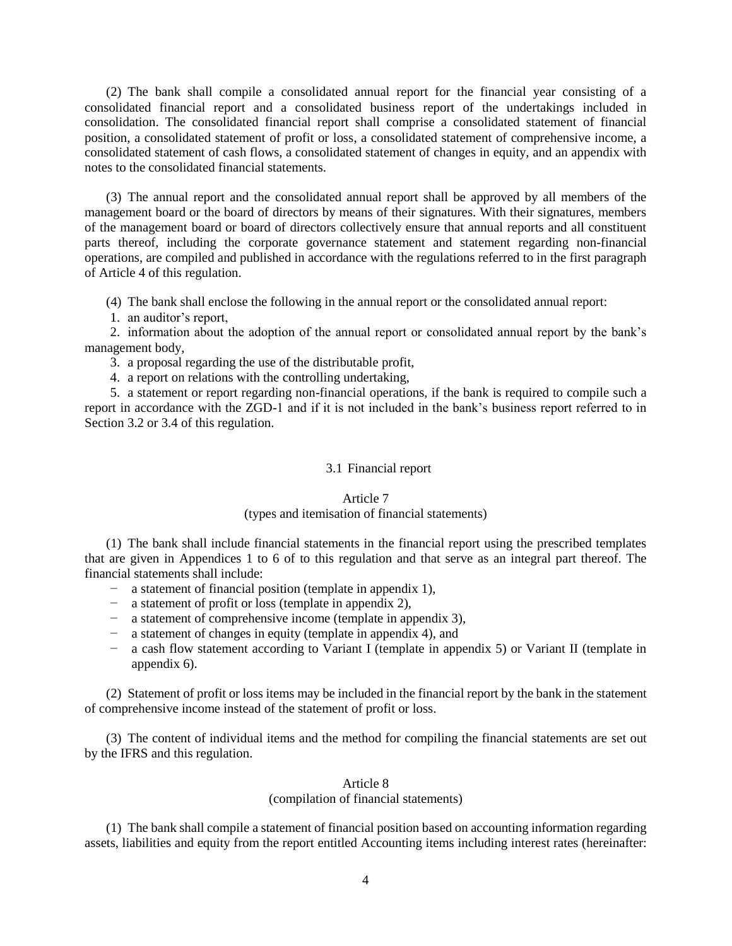(2) The bank shall compile a consolidated annual report for the financial year consisting of a consolidated financial report and a consolidated business report of the undertakings included in consolidation. The consolidated financial report shall comprise a consolidated statement of financial position, a consolidated statement of profit or loss, a consolidated statement of comprehensive income, a consolidated statement of cash flows, a consolidated statement of changes in equity, and an appendix with notes to the consolidated financial statements.

(3) The annual report and the consolidated annual report shall be approved by all members of the management board or the board of directors by means of their signatures. With their signatures, members of the management board or board of directors collectively ensure that annual reports and all constituent parts thereof, including the corporate governance statement and statement regarding non-financial operations, are compiled and published in accordance with the regulations referred to in the first paragraph of Article 4 of this regulation.

(4) The bank shall enclose the following in the annual report or the consolidated annual report:

1. an auditor's report,

2. information about the adoption of the annual report or consolidated annual report by the bank's management body,

3. a proposal regarding the use of the distributable profit,

4. a report on relations with the controlling undertaking,

5. a statement or report regarding non-financial operations, if the bank is required to compile such a report in accordance with the ZGD-1 and if it is not included in the bank's business report referred to in Section 3.2 or 3.4 of this regulation.

### 3.1 Financial report

#### Article 7

## (types and itemisation of financial statements)

(1) The bank shall include financial statements in the financial report using the prescribed templates that are given in Appendices 1 to 6 of to this regulation and that serve as an integral part thereof. The financial statements shall include:

- − a statement of financial position (template in appendix 1),
- − a statement of profit or loss (template in appendix 2),
- − a statement of comprehensive income (template in appendix 3),
- − a statement of changes in equity (template in appendix 4), and
- − a cash flow statement according to Variant I (template in appendix 5) or Variant II (template in appendix 6).

(2) Statement of profit or loss items may be included in the financial report by the bank in the statement of comprehensive income instead of the statement of profit or loss.

(3) The content of individual items and the method for compiling the financial statements are set out by the IFRS and this regulation.

## Article 8

(compilation of financial statements)

(1) The bank shall compile a statement of financial position based on accounting information regarding assets, liabilities and equity from the report entitled Accounting items including interest rates (hereinafter: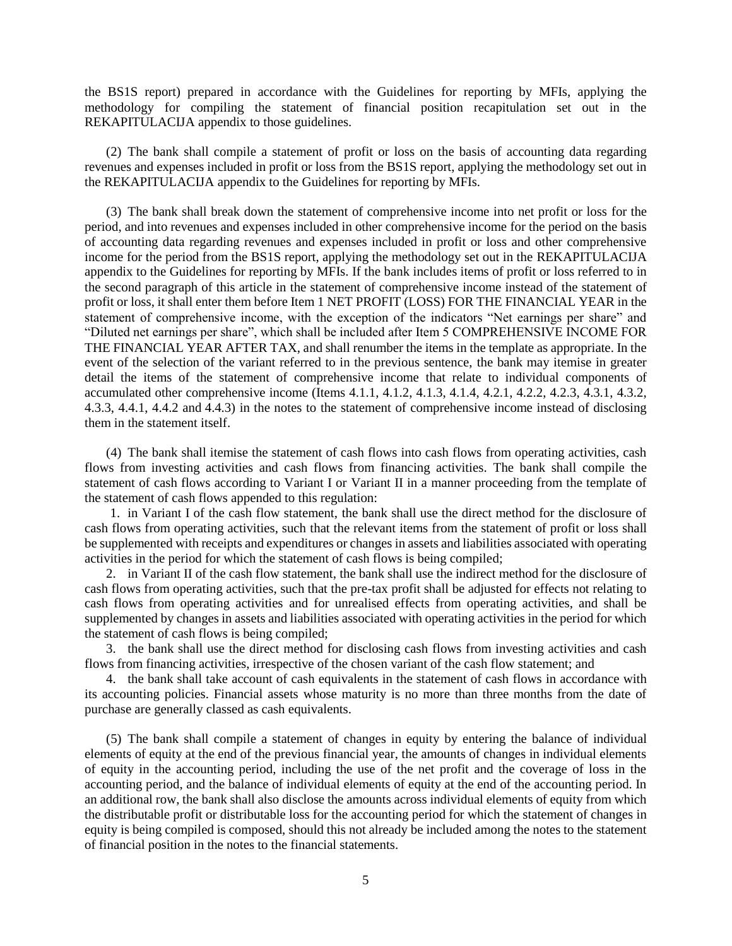the BS1S report) prepared in accordance with the Guidelines for reporting by MFIs, applying the methodology for compiling the statement of financial position recapitulation set out in the REKAPITULACIJA appendix to those guidelines.

(2) The bank shall compile a statement of profit or loss on the basis of accounting data regarding revenues and expenses included in profit or loss from the BS1S report, applying the methodology set out in the REKAPITULACIJA appendix to the Guidelines for reporting by MFIs.

(3) The bank shall break down the statement of comprehensive income into net profit or loss for the period, and into revenues and expenses included in other comprehensive income for the period on the basis of accounting data regarding revenues and expenses included in profit or loss and other comprehensive income for the period from the BS1S report, applying the methodology set out in the REKAPITULACIJA appendix to the Guidelines for reporting by MFIs. If the bank includes items of profit or loss referred to in the second paragraph of this article in the statement of comprehensive income instead of the statement of profit or loss, it shall enter them before Item 1 NET PROFIT (LOSS) FOR THE FINANCIAL YEAR in the statement of comprehensive income, with the exception of the indicators "Net earnings per share" and "Diluted net earnings per share", which shall be included after Item 5 COMPREHENSIVE INCOME FOR THE FINANCIAL YEAR AFTER TAX, and shall renumber the items in the template as appropriate. In the event of the selection of the variant referred to in the previous sentence, the bank may itemise in greater detail the items of the statement of comprehensive income that relate to individual components of accumulated other comprehensive income (Items 4.1.1, 4.1.2, 4.1.3, 4.1.4, 4.2.1, 4.2.2, 4.2.3, 4.3.1, 4.3.2, 4.3.3, 4.4.1, 4.4.2 and 4.4.3) in the notes to the statement of comprehensive income instead of disclosing them in the statement itself.

(4) The bank shall itemise the statement of cash flows into cash flows from operating activities, cash flows from investing activities and cash flows from financing activities. The bank shall compile the statement of cash flows according to Variant I or Variant II in a manner proceeding from the template of the statement of cash flows appended to this regulation:

1. in Variant I of the cash flow statement, the bank shall use the direct method for the disclosure of cash flows from operating activities, such that the relevant items from the statement of profit or loss shall be supplemented with receipts and expenditures or changes in assets and liabilities associated with operating activities in the period for which the statement of cash flows is being compiled;

2. in Variant II of the cash flow statement, the bank shall use the indirect method for the disclosure of cash flows from operating activities, such that the pre-tax profit shall be adjusted for effects not relating to cash flows from operating activities and for unrealised effects from operating activities, and shall be supplemented by changes in assets and liabilities associated with operating activities in the period for which the statement of cash flows is being compiled;

3. the bank shall use the direct method for disclosing cash flows from investing activities and cash flows from financing activities, irrespective of the chosen variant of the cash flow statement; and

4. the bank shall take account of cash equivalents in the statement of cash flows in accordance with its accounting policies. Financial assets whose maturity is no more than three months from the date of purchase are generally classed as cash equivalents.

(5) The bank shall compile a statement of changes in equity by entering the balance of individual elements of equity at the end of the previous financial year, the amounts of changes in individual elements of equity in the accounting period, including the use of the net profit and the coverage of loss in the accounting period, and the balance of individual elements of equity at the end of the accounting period. In an additional row, the bank shall also disclose the amounts across individual elements of equity from which the distributable profit or distributable loss for the accounting period for which the statement of changes in equity is being compiled is composed, should this not already be included among the notes to the statement of financial position in the notes to the financial statements.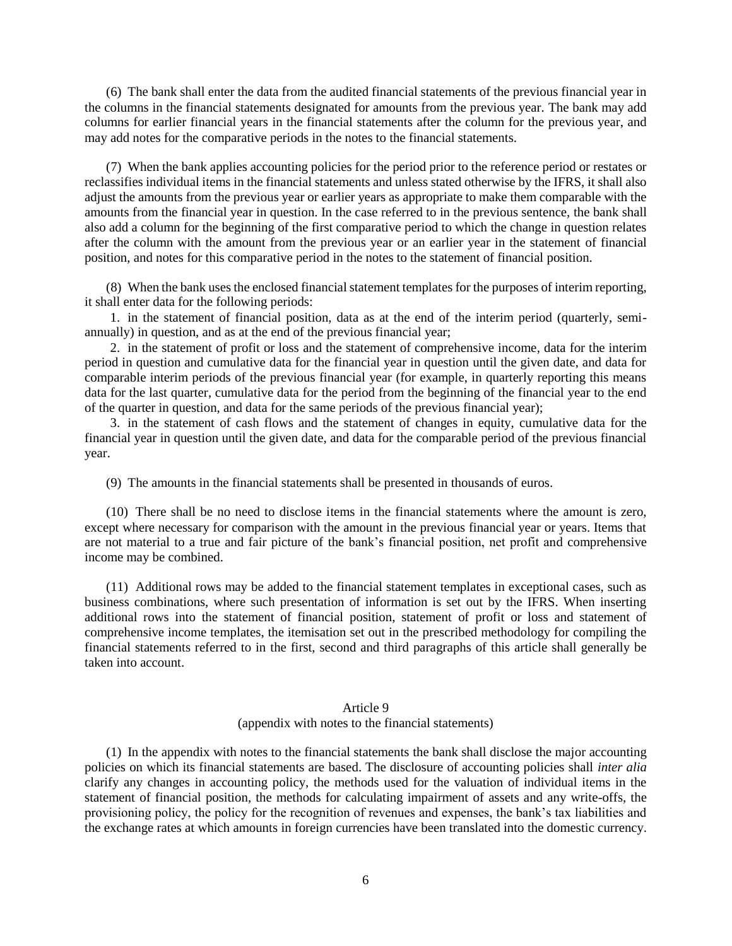(6) The bank shall enter the data from the audited financial statements of the previous financial year in the columns in the financial statements designated for amounts from the previous year. The bank may add columns for earlier financial years in the financial statements after the column for the previous year, and may add notes for the comparative periods in the notes to the financial statements.

(7) When the bank applies accounting policies for the period prior to the reference period or restates or reclassifies individual items in the financial statements and unless stated otherwise by the IFRS, it shall also adjust the amounts from the previous year or earlier years as appropriate to make them comparable with the amounts from the financial year in question. In the case referred to in the previous sentence, the bank shall also add a column for the beginning of the first comparative period to which the change in question relates after the column with the amount from the previous year or an earlier year in the statement of financial position, and notes for this comparative period in the notes to the statement of financial position.

(8) When the bank uses the enclosed financial statement templates for the purposes of interim reporting, it shall enter data for the following periods:

1. in the statement of financial position, data as at the end of the interim period (quarterly, semiannually) in question, and as at the end of the previous financial year;

2. in the statement of profit or loss and the statement of comprehensive income, data for the interim period in question and cumulative data for the financial year in question until the given date, and data for comparable interim periods of the previous financial year (for example, in quarterly reporting this means data for the last quarter, cumulative data for the period from the beginning of the financial year to the end of the quarter in question, and data for the same periods of the previous financial year);

3. in the statement of cash flows and the statement of changes in equity, cumulative data for the financial year in question until the given date, and data for the comparable period of the previous financial year.

(9) The amounts in the financial statements shall be presented in thousands of euros.

(10) There shall be no need to disclose items in the financial statements where the amount is zero, except where necessary for comparison with the amount in the previous financial year or years. Items that are not material to a true and fair picture of the bank's financial position, net profit and comprehensive income may be combined.

(11) Additional rows may be added to the financial statement templates in exceptional cases, such as business combinations, where such presentation of information is set out by the IFRS. When inserting additional rows into the statement of financial position, statement of profit or loss and statement of comprehensive income templates, the itemisation set out in the prescribed methodology for compiling the financial statements referred to in the first, second and third paragraphs of this article shall generally be taken into account.

## Article 9 (appendix with notes to the financial statements)

(1) In the appendix with notes to the financial statements the bank shall disclose the major accounting policies on which its financial statements are based. The disclosure of accounting policies shall *inter alia*  clarify any changes in accounting policy, the methods used for the valuation of individual items in the statement of financial position, the methods for calculating impairment of assets and any write-offs, the provisioning policy, the policy for the recognition of revenues and expenses, the bank's tax liabilities and the exchange rates at which amounts in foreign currencies have been translated into the domestic currency.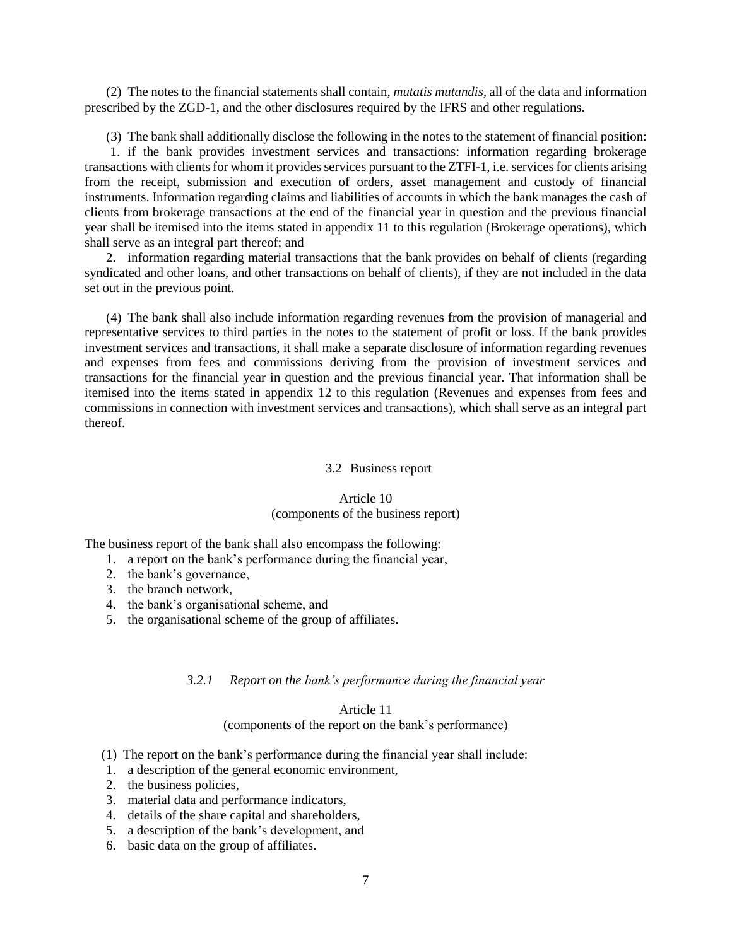(2) The notes to the financial statements shall contain, *mutatis mutandis*, all of the data and information prescribed by the ZGD-1, and the other disclosures required by the IFRS and other regulations.

(3) The bank shall additionally disclose the following in the notes to the statement of financial position: 1. if the bank provides investment services and transactions: information regarding brokerage transactions with clients for whom it provides services pursuant to the ZTFI-1, i.e. services for clients arising from the receipt, submission and execution of orders, asset management and custody of financial instruments. Information regarding claims and liabilities of accounts in which the bank manages the cash of clients from brokerage transactions at the end of the financial year in question and the previous financial year shall be itemised into the items stated in appendix 11 to this regulation (Brokerage operations), which shall serve as an integral part thereof; and

2. information regarding material transactions that the bank provides on behalf of clients (regarding syndicated and other loans, and other transactions on behalf of clients), if they are not included in the data set out in the previous point.

(4) The bank shall also include information regarding revenues from the provision of managerial and representative services to third parties in the notes to the statement of profit or loss. If the bank provides investment services and transactions, it shall make a separate disclosure of information regarding revenues and expenses from fees and commissions deriving from the provision of investment services and transactions for the financial year in question and the previous financial year. That information shall be itemised into the items stated in appendix 12 to this regulation (Revenues and expenses from fees and commissions in connection with investment services and transactions), which shall serve as an integral part thereof.

### 3.2 Business report

## Article 10

# (components of the business report)

The business report of the bank shall also encompass the following:

- 1. a report on the bank's performance during the financial year,
- 2. the bank's governance,
- 3. the branch network,
- 4. the bank's organisational scheme, and
- 5. the organisational scheme of the group of affiliates.

## *3.2.1 Report on the bank's performance during the financial year*

## Article 11

# (components of the report on the bank's performance)

- (1) The report on the bank's performance during the financial year shall include:
- 1. a description of the general economic environment,
- 2. the business policies,
- 3. material data and performance indicators,
- 4. details of the share capital and shareholders,
- 5. a description of the bank's development, and
- 6. basic data on the group of affiliates.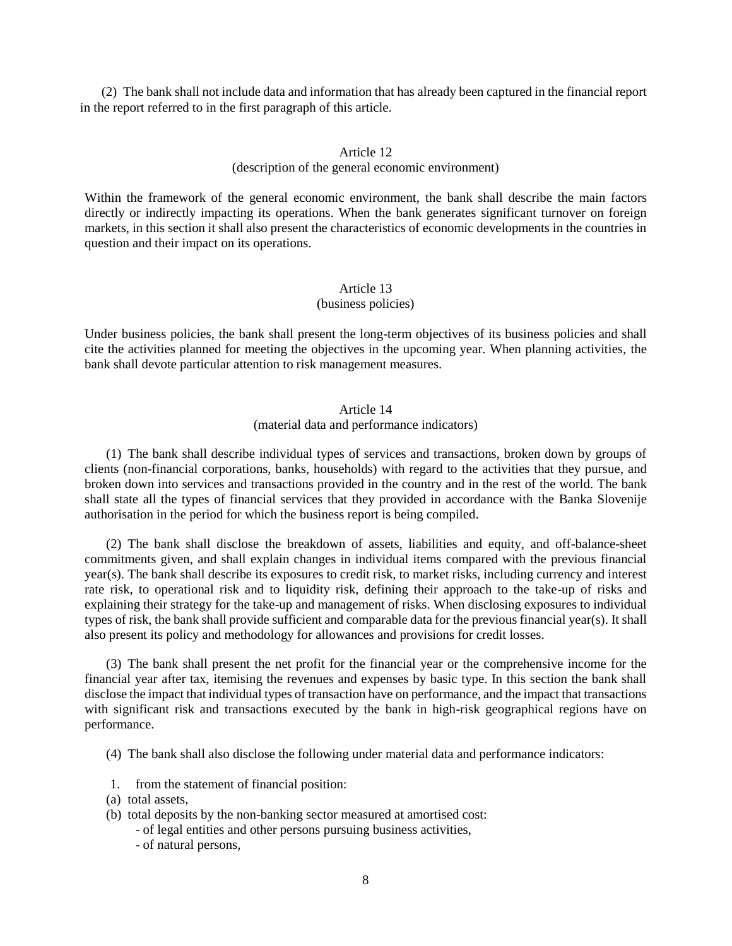(2) The bank shall not include data and information that has already been captured in the financial report in the report referred to in the first paragraph of this article.

## Article 12

## (description of the general economic environment)

Within the framework of the general economic environment, the bank shall describe the main factors directly or indirectly impacting its operations. When the bank generates significant turnover on foreign markets, in this section it shall also present the characteristics of economic developments in the countries in question and their impact on its operations.

# Article 13

### (business policies)

Under business policies, the bank shall present the long-term objectives of its business policies and shall cite the activities planned for meeting the objectives in the upcoming year. When planning activities, the bank shall devote particular attention to risk management measures.

### Article 14

# (material data and performance indicators)

(1) The bank shall describe individual types of services and transactions, broken down by groups of clients (non-financial corporations, banks, households) with regard to the activities that they pursue, and broken down into services and transactions provided in the country and in the rest of the world. The bank shall state all the types of financial services that they provided in accordance with the Banka Slovenije authorisation in the period for which the business report is being compiled.

(2) The bank shall disclose the breakdown of assets, liabilities and equity, and off-balance-sheet commitments given, and shall explain changes in individual items compared with the previous financial year(s). The bank shall describe its exposures to credit risk, to market risks, including currency and interest rate risk, to operational risk and to liquidity risk, defining their approach to the take-up of risks and explaining their strategy for the take-up and management of risks. When disclosing exposures to individual types of risk, the bank shall provide sufficient and comparable data for the previous financial year(s). It shall also present its policy and methodology for allowances and provisions for credit losses.

(3) The bank shall present the net profit for the financial year or the comprehensive income for the financial year after tax, itemising the revenues and expenses by basic type. In this section the bank shall disclose the impact that individual types of transaction have on performance, and the impact that transactions with significant risk and transactions executed by the bank in high-risk geographical regions have on performance.

(4) The bank shall also disclose the following under material data and performance indicators:

- 1. from the statement of financial position:
- (a) total assets,
- (b) total deposits by the non-banking sector measured at amortised cost:
	- of legal entities and other persons pursuing business activities,
	- of natural persons,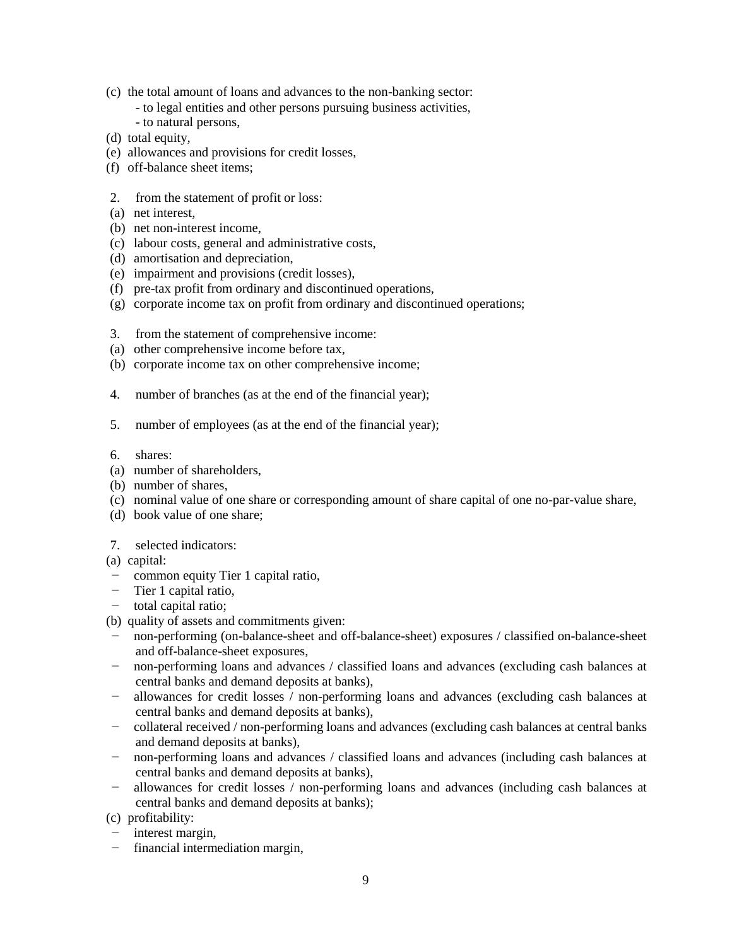- (c) the total amount of loans and advances to the non-banking sector:
	- to legal entities and other persons pursuing business activities,
	- to natural persons,
- (d) total equity,
- (e) allowances and provisions for credit losses,
- (f) off-balance sheet items;
- 2. from the statement of profit or loss:
- (a) net interest,
- (b) net non-interest income,
- (c) labour costs, general and administrative costs,
- (d) amortisation and depreciation,
- (e) impairment and provisions (credit losses),
- (f) pre-tax profit from ordinary and discontinued operations,
- (g) corporate income tax on profit from ordinary and discontinued operations;
- 3. from the statement of comprehensive income:
- (a) other comprehensive income before tax,
- (b) corporate income tax on other comprehensive income;
- 4. number of branches (as at the end of the financial year);
- 5. number of employees (as at the end of the financial year);
- 6. shares:
- (a) number of shareholders,
- (b) number of shares,
- (c) nominal value of one share or corresponding amount of share capital of one no-par-value share,
- (d) book value of one share;
- 7. selected indicators:
- (a) capital:
- − common equity Tier 1 capital ratio,
- − Tier 1 capital ratio,
- − total capital ratio;
- (b) quality of assets and commitments given:
- − non-performing (on-balance-sheet and off-balance-sheet) exposures / classified on-balance-sheet and off-balance-sheet exposures,
- − non-performing loans and advances / classified loans and advances (excluding cash balances at central banks and demand deposits at banks),
- − allowances for credit losses / non-performing loans and advances (excluding cash balances at central banks and demand deposits at banks),
- − collateral received / non-performing loans and advances (excluding cash balances at central banks and demand deposits at banks),
- − non-performing loans and advances / classified loans and advances (including cash balances at central banks and demand deposits at banks),
- − allowances for credit losses / non-performing loans and advances (including cash balances at central banks and demand deposits at banks);
- (c) profitability:
- − interest margin,
- − financial intermediation margin,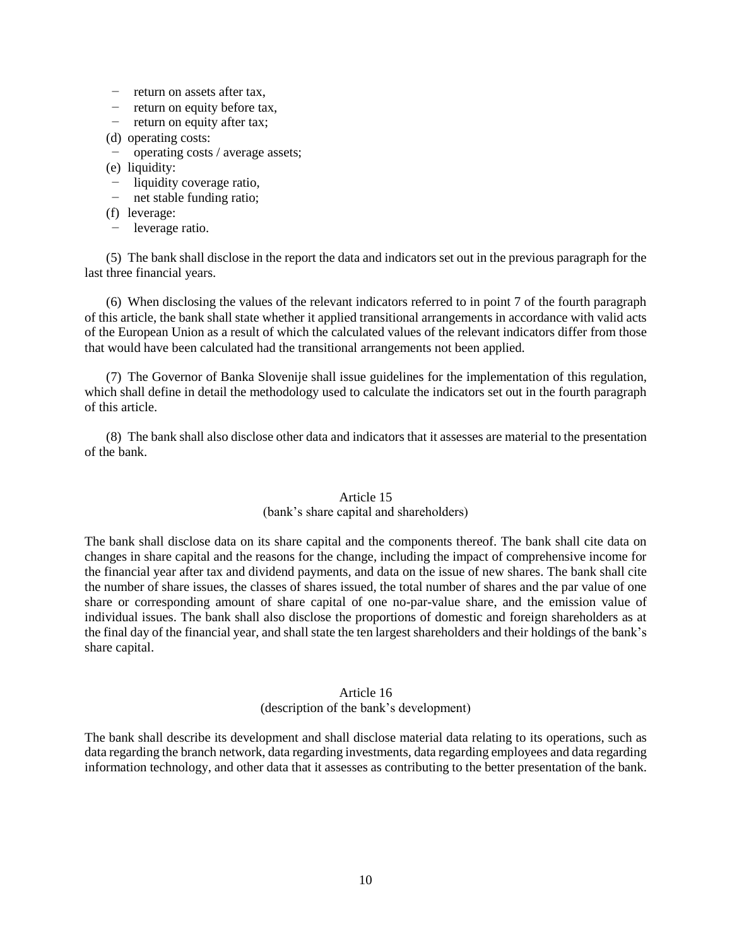- − return on assets after tax,
- − return on equity before tax,
- − return on equity after tax;
- (d) operating costs:
- − operating costs / average assets;
- (e) liquidity:
- − liquidity coverage ratio,
- − net stable funding ratio;
- (f) leverage:
- − leverage ratio.

(5) The bank shall disclose in the report the data and indicators set out in the previous paragraph for the last three financial years.

(6) When disclosing the values of the relevant indicators referred to in point 7 of the fourth paragraph of this article, the bank shall state whether it applied transitional arrangements in accordance with valid acts of the European Union as a result of which the calculated values of the relevant indicators differ from those that would have been calculated had the transitional arrangements not been applied.

(7) The Governor of Banka Slovenije shall issue guidelines for the implementation of this regulation, which shall define in detail the methodology used to calculate the indicators set out in the fourth paragraph of this article.

(8) The bank shall also disclose other data and indicators that it assesses are material to the presentation of the bank.

## Article 15

# (bank's share capital and shareholders)

The bank shall disclose data on its share capital and the components thereof. The bank shall cite data on changes in share capital and the reasons for the change, including the impact of comprehensive income for the financial year after tax and dividend payments, and data on the issue of new shares. The bank shall cite the number of share issues, the classes of shares issued, the total number of shares and the par value of one share or corresponding amount of share capital of one no-par-value share, and the emission value of individual issues. The bank shall also disclose the proportions of domestic and foreign shareholders as at the final day of the financial year, and shall state the ten largest shareholders and their holdings of the bank's share capital.

# Article 16

## (description of the bank's development)

The bank shall describe its development and shall disclose material data relating to its operations, such as data regarding the branch network, data regarding investments, data regarding employees and data regarding information technology, and other data that it assesses as contributing to the better presentation of the bank.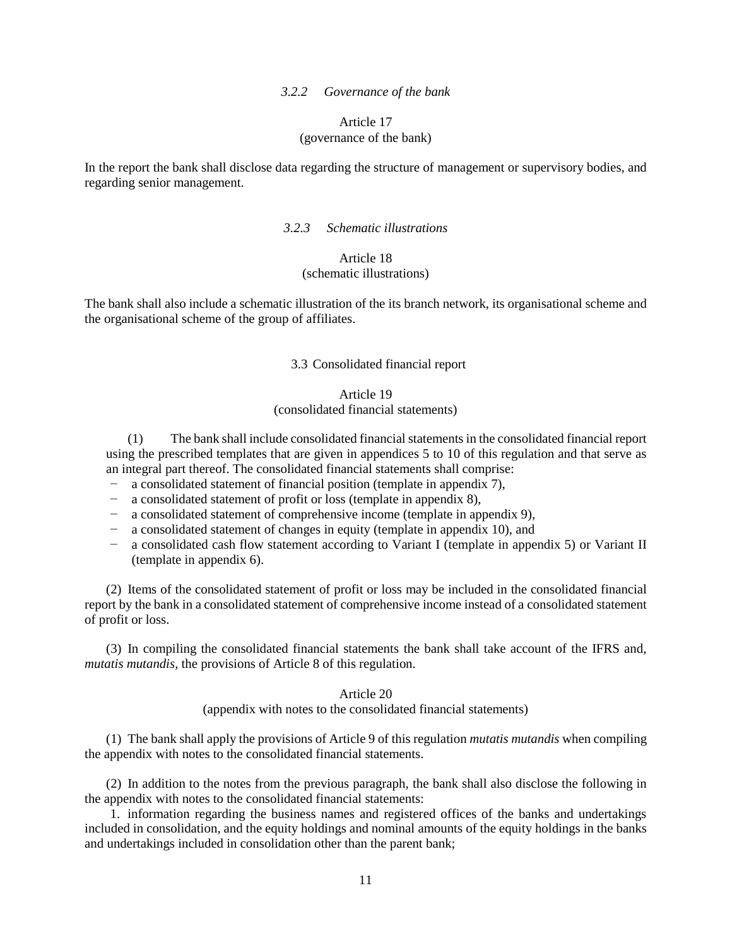#### *3.2.2 Governance of the bank*

## Article 17 (governance of the bank)

In the report the bank shall disclose data regarding the structure of management or supervisory bodies, and regarding senior management.

### *3.2.3 Schematic illustrations*

# Article 18 (schematic illustrations)

The bank shall also include a schematic illustration of the its branch network, its organisational scheme and the organisational scheme of the group of affiliates.

### 3.3 Consolidated financial report

## Article 19 (consolidated financial statements)

(1) The bank shall include consolidated financial statements in the consolidated financial report using the prescribed templates that are given in appendices 5 to 10 of this regulation and that serve as an integral part thereof. The consolidated financial statements shall comprise:

- − a consolidated statement of financial position (template in appendix 7),
- − a consolidated statement of profit or loss (template in appendix 8),
- − a consolidated statement of comprehensive income (template in appendix 9),
- − a consolidated statement of changes in equity (template in appendix 10), and
- − a consolidated cash flow statement according to Variant I (template in appendix 5) or Variant II (template in appendix 6).

(2) Items of the consolidated statement of profit or loss may be included in the consolidated financial report by the bank in a consolidated statement of comprehensive income instead of a consolidated statement of profit or loss.

(3) In compiling the consolidated financial statements the bank shall take account of the IFRS and, *mutatis mutandis*, the provisions of Article 8 of this regulation.

#### Article 20

(appendix with notes to the consolidated financial statements)

(1) The bank shall apply the provisions of Article 9 of this regulation *mutatis mutandis* when compiling the appendix with notes to the consolidated financial statements.

(2) In addition to the notes from the previous paragraph, the bank shall also disclose the following in the appendix with notes to the consolidated financial statements:

1. information regarding the business names and registered offices of the banks and undertakings included in consolidation, and the equity holdings and nominal amounts of the equity holdings in the banks and undertakings included in consolidation other than the parent bank;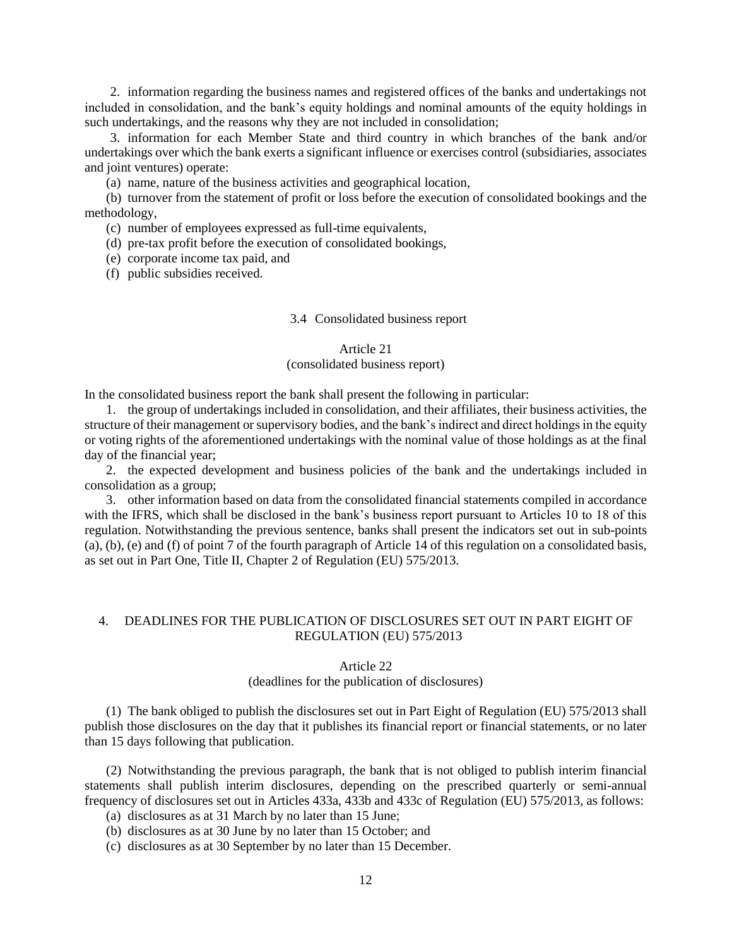2. information regarding the business names and registered offices of the banks and undertakings not included in consolidation, and the bank's equity holdings and nominal amounts of the equity holdings in such undertakings, and the reasons why they are not included in consolidation;

3. information for each Member State and third country in which branches of the bank and/or undertakings over which the bank exerts a significant influence or exercises control (subsidiaries, associates and joint ventures) operate:

(a) name, nature of the business activities and geographical location,

(b) turnover from the statement of profit or loss before the execution of consolidated bookings and the methodology,

(c) number of employees expressed as full-time equivalents,

(d) pre-tax profit before the execution of consolidated bookings,

(e) corporate income tax paid, and

(f) public subsidies received.

### 3.4 Consolidated business report

#### Article 21

### (consolidated business report)

In the consolidated business report the bank shall present the following in particular:

1. the group of undertakings included in consolidation, and their affiliates, their business activities, the structure of their management or supervisory bodies, and the bank's indirect and direct holdings in the equity or voting rights of the aforementioned undertakings with the nominal value of those holdings as at the final day of the financial year;

2. the expected development and business policies of the bank and the undertakings included in consolidation as a group;

3. other information based on data from the consolidated financial statements compiled in accordance with the IFRS, which shall be disclosed in the bank's business report pursuant to Articles 10 to 18 of this regulation. Notwithstanding the previous sentence, banks shall present the indicators set out in sub-points (a), (b), (e) and (f) of point 7 of the fourth paragraph of Article 14 of this regulation on a consolidated basis, as set out in Part One, Title II, Chapter 2 of Regulation (EU) 575/2013.

# 4. DEADLINES FOR THE PUBLICATION OF DISCLOSURES SET OUT IN PART EIGHT OF REGULATION (EU) 575/2013

#### Article 22

### (deadlines for the publication of disclosures)

(1) The bank obliged to publish the disclosures set out in Part Eight of Regulation (EU) 575/2013 shall publish those disclosures on the day that it publishes its financial report or financial statements, or no later than 15 days following that publication.

(2) Notwithstanding the previous paragraph, the bank that is not obliged to publish interim financial statements shall publish interim disclosures, depending on the prescribed quarterly or semi-annual frequency of disclosures set out in Articles 433a, 433b and 433c of Regulation (EU) 575/2013, as follows:

(a) disclosures as at 31 March by no later than 15 June;

- (b) disclosures as at 30 June by no later than 15 October; and
- (c) disclosures as at 30 September by no later than 15 December.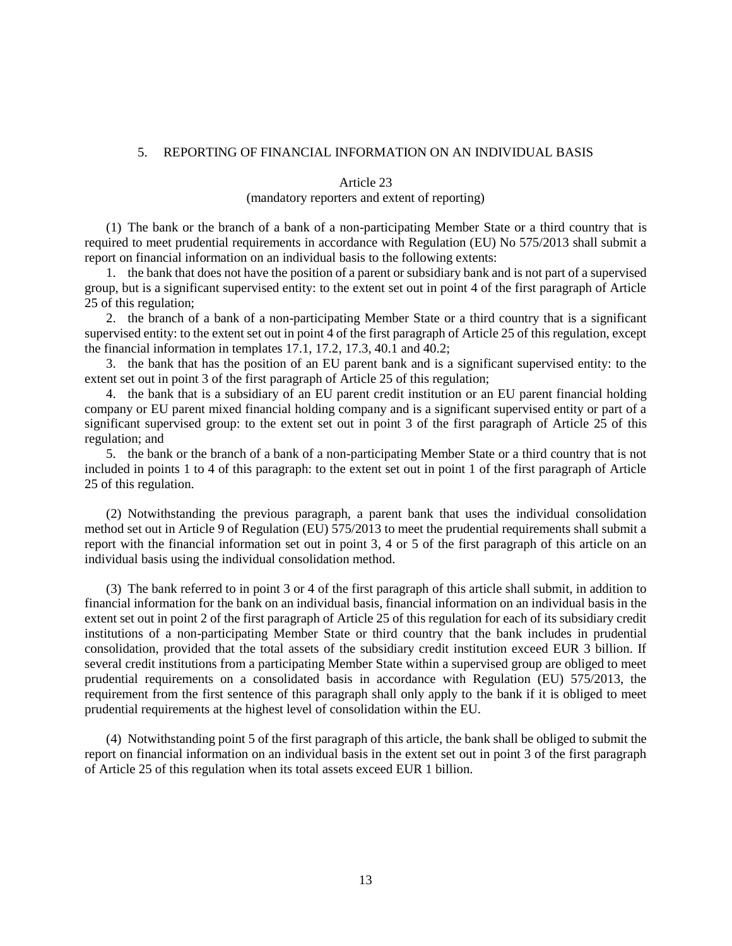## 5. REPORTING OF FINANCIAL INFORMATION ON AN INDIVIDUAL BASIS

#### Article 23

## (mandatory reporters and extent of reporting)

(1) The bank or the branch of a bank of a non-participating Member State or a third country that is required to meet prudential requirements in accordance with Regulation (EU) No 575/2013 shall submit a report on financial information on an individual basis to the following extents:

1. the bank that does not have the position of a parent or subsidiary bank and is not part of a supervised group, but is a significant supervised entity: to the extent set out in point 4 of the first paragraph of Article 25 of this regulation;

2. the branch of a bank of a non-participating Member State or a third country that is a significant supervised entity: to the extent set out in point 4 of the first paragraph of Article 25 of this regulation, except the financial information in templates 17.1, 17.2, 17.3, 40.1 and 40.2;

3. the bank that has the position of an EU parent bank and is a significant supervised entity: to the extent set out in point 3 of the first paragraph of Article 25 of this regulation;

4. the bank that is a subsidiary of an EU parent credit institution or an EU parent financial holding company or EU parent mixed financial holding company and is a significant supervised entity or part of a significant supervised group: to the extent set out in point 3 of the first paragraph of Article 25 of this regulation; and

5. the bank or the branch of a bank of a non-participating Member State or a third country that is not included in points 1 to 4 of this paragraph: to the extent set out in point 1 of the first paragraph of Article 25 of this regulation.

(2) Notwithstanding the previous paragraph, a parent bank that uses the individual consolidation method set out in Article 9 of Regulation (EU) 575/2013 to meet the prudential requirements shall submit a report with the financial information set out in point 3, 4 or 5 of the first paragraph of this article on an individual basis using the individual consolidation method.

(3) The bank referred to in point 3 or 4 of the first paragraph of this article shall submit, in addition to financial information for the bank on an individual basis, financial information on an individual basis in the extent set out in point 2 of the first paragraph of Article 25 of this regulation for each of its subsidiary credit institutions of a non-participating Member State or third country that the bank includes in prudential consolidation, provided that the total assets of the subsidiary credit institution exceed EUR 3 billion. If several credit institutions from a participating Member State within a supervised group are obliged to meet prudential requirements on a consolidated basis in accordance with Regulation (EU) 575/2013, the requirement from the first sentence of this paragraph shall only apply to the bank if it is obliged to meet prudential requirements at the highest level of consolidation within the EU.

(4) Notwithstanding point 5 of the first paragraph of this article, the bank shall be obliged to submit the report on financial information on an individual basis in the extent set out in point 3 of the first paragraph of Article 25 of this regulation when its total assets exceed EUR 1 billion.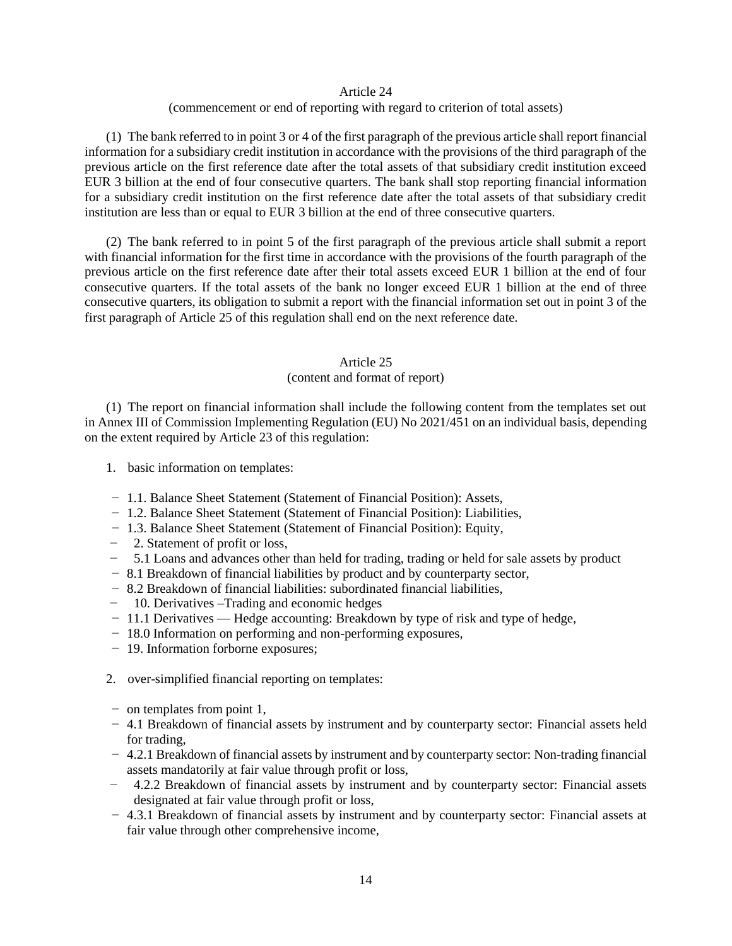### Article 24

## (commencement or end of reporting with regard to criterion of total assets)

(1) The bank referred to in point 3 or 4 of the first paragraph of the previous article shall report financial information for a subsidiary credit institution in accordance with the provisions of the third paragraph of the previous article on the first reference date after the total assets of that subsidiary credit institution exceed EUR 3 billion at the end of four consecutive quarters. The bank shall stop reporting financial information for a subsidiary credit institution on the first reference date after the total assets of that subsidiary credit institution are less than or equal to EUR 3 billion at the end of three consecutive quarters.

(2) The bank referred to in point 5 of the first paragraph of the previous article shall submit a report with financial information for the first time in accordance with the provisions of the fourth paragraph of the previous article on the first reference date after their total assets exceed EUR 1 billion at the end of four consecutive quarters. If the total assets of the bank no longer exceed EUR 1 billion at the end of three consecutive quarters, its obligation to submit a report with the financial information set out in point 3 of the first paragraph of Article 25 of this regulation shall end on the next reference date.

### Article 25

# (content and format of report)

(1) The report on financial information shall include the following content from the templates set out in Annex III of Commission Implementing Regulation (EU) No 2021/451 on an individual basis, depending on the extent required by Article 23 of this regulation:

- 1. basic information on templates:
- − 1.1. Balance Sheet Statement (Statement of Financial Position): Assets,
- − 1.2. Balance Sheet Statement (Statement of Financial Position): Liabilities,
- − 1.3. Balance Sheet Statement (Statement of Financial Position): Equity,
- − 2. Statement of profit or loss,
- − 5.1 Loans and advances other than held for trading, trading or held for sale assets by product
- − 8.1 Breakdown of financial liabilities by product and by counterparty sector,
- − 8.2 Breakdown of financial liabilities: subordinated financial liabilities,
- − 10. Derivatives –Trading and economic hedges
- − 11.1 Derivatives Hedge accounting: Breakdown by type of risk and type of hedge,
- − 18.0 Information on performing and non-performing exposures,
- − 19. Information forborne exposures;
- 2. over-simplified financial reporting on templates:
- − on templates from point 1,
- − 4.1 Breakdown of financial assets by instrument and by counterparty sector: Financial assets held for trading,
- − 4.2.1 Breakdown of financial assets by instrument and by counterparty sector: Non-trading financial assets mandatorily at fair value through profit or loss,
- − 4.2.2 Breakdown of financial assets by instrument and by counterparty sector: Financial assets designated at fair value through profit or loss,
- − 4.3.1 Breakdown of financial assets by instrument and by counterparty sector: Financial assets at fair value through other comprehensive income,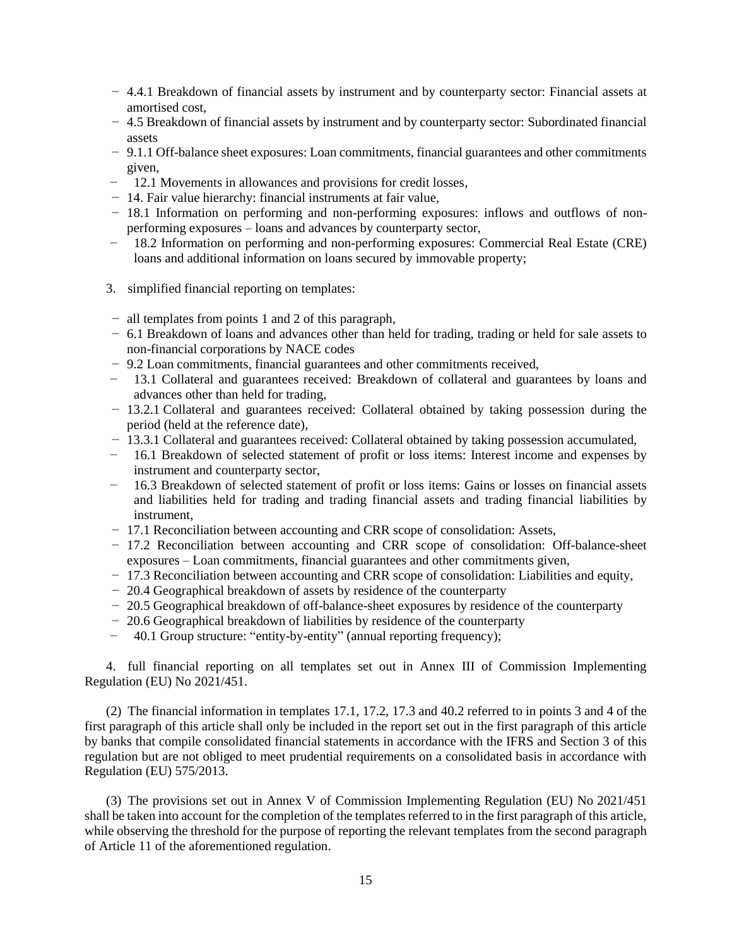- − 4.4.1 Breakdown of financial assets by instrument and by counterparty sector: Financial assets at amortised cost,
- − 4.5 Breakdown of financial assets by instrument and by counterparty sector: Subordinated financial assets
- − 9.1.1 Off-balance sheet exposures: Loan commitments, financial guarantees and other commitments given,
- − 12.1 Movements in allowances and provisions for credit losses,
- − 14. Fair value hierarchy: financial instruments at fair value,
- − 18.1 Information on performing and non-performing exposures: inflows and outflows of nonperforming exposures – loans and advances by counterparty sector,
- − 18.2 Information on performing and non-performing exposures: Commercial Real Estate (CRE) loans and additional information on loans secured by immovable property;
- 3. simplified financial reporting on templates:
- − all templates from points 1 and 2 of this paragraph,
- − 6.1 Breakdown of loans and advances other than held for trading, trading or held for sale assets to non-financial corporations by NACE codes
- − 9.2 Loan commitments, financial guarantees and other commitments received,
- 13.1 Collateral and guarantees received: Breakdown of collateral and guarantees by loans and advances other than held for trading,
- − 13.2.1 Collateral and guarantees received: Collateral obtained by taking possession during the period (held at the reference date),
- − 13.3.1 Collateral and guarantees received: Collateral obtained by taking possession accumulated,
- − 16.1 Breakdown of selected statement of profit or loss items: Interest income and expenses by instrument and counterparty sector,
- − 16.3 Breakdown of selected statement of profit or loss items: Gains or losses on financial assets and liabilities held for trading and trading financial assets and trading financial liabilities by instrument,
- − 17.1 Reconciliation between accounting and CRR scope of consolidation: Assets,
- − 17.2 Reconciliation between accounting and CRR scope of consolidation: Off-balance-sheet exposures – Loan commitments, financial guarantees and other commitments given,
- − 17.3 Reconciliation between accounting and CRR scope of consolidation: Liabilities and equity,
- − 20.4 Geographical breakdown of assets by residence of the counterparty
- − 20.5 Geographical breakdown of off-balance-sheet exposures by residence of the counterparty
- − 20.6 Geographical breakdown of liabilities by residence of the counterparty
- − 40.1 Group structure: "entity-by-entity" (annual reporting frequency);

4. full financial reporting on all templates set out in Annex III of Commission Implementing Regulation (EU) No 2021/451.

(2) The financial information in templates 17.1, 17.2, 17.3 and 40.2 referred to in points 3 and 4 of the first paragraph of this article shall only be included in the report set out in the first paragraph of this article by banks that compile consolidated financial statements in accordance with the IFRS and Section 3 of this regulation but are not obliged to meet prudential requirements on a consolidated basis in accordance with Regulation (EU) 575/2013.

(3) The provisions set out in Annex V of Commission Implementing Regulation (EU) No 2021/451 shall be taken into account for the completion of the templates referred to in the first paragraph of this article, while observing the threshold for the purpose of reporting the relevant templates from the second paragraph of Article 11 of the aforementioned regulation.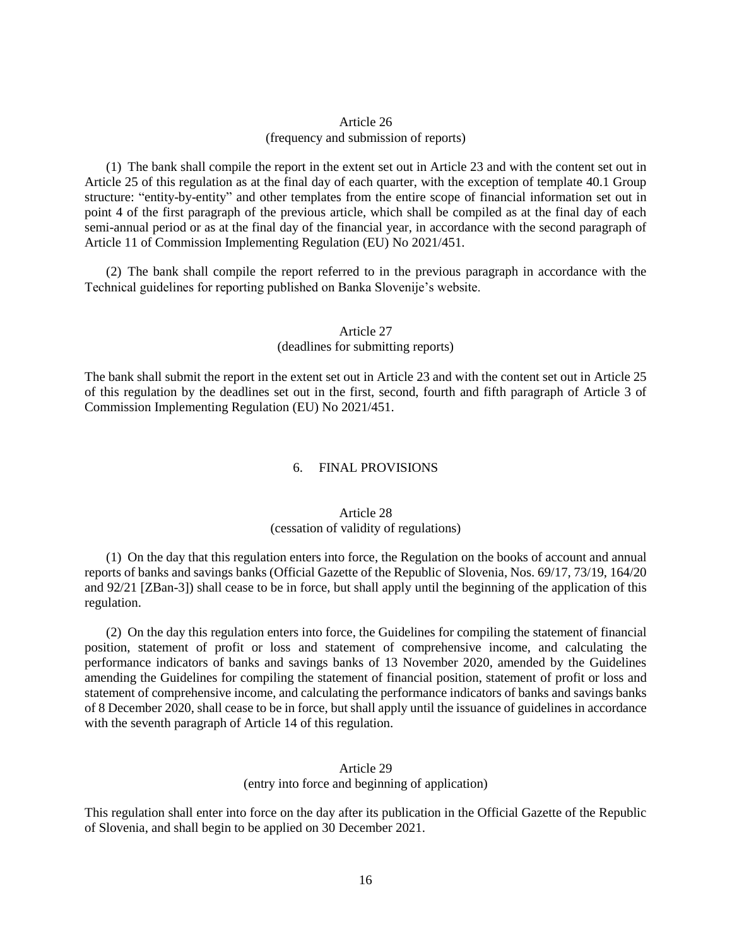# Article 26 (frequency and submission of reports)

(1) The bank shall compile the report in the extent set out in Article 23 and with the content set out in Article 25 of this regulation as at the final day of each quarter, with the exception of template 40.1 Group structure: "entity-by-entity" and other templates from the entire scope of financial information set out in point 4 of the first paragraph of the previous article, which shall be compiled as at the final day of each semi-annual period or as at the final day of the financial year, in accordance with the second paragraph of Article 11 of Commission Implementing Regulation (EU) No 2021/451.

(2) The bank shall compile the report referred to in the previous paragraph in accordance with the Technical guidelines for reporting published on Banka Slovenije's website.

# Article 27 (deadlines for submitting reports)

The bank shall submit the report in the extent set out in Article 23 and with the content set out in Article 25 of this regulation by the deadlines set out in the first, second, fourth and fifth paragraph of Article 3 of Commission Implementing Regulation (EU) No 2021/451.

## 6. FINAL PROVISIONS

## Article 28 (cessation of validity of regulations)

(1) On the day that this regulation enters into force, the Regulation on the books of account and annual reports of banks and savings banks (Official Gazette of the Republic of Slovenia, Nos. 69/17, 73/19, 164/20 and 92/21 [ZBan-3]) shall cease to be in force, but shall apply until the beginning of the application of this regulation.

(2) On the day this regulation enters into force, the Guidelines for compiling the statement of financial position, statement of profit or loss and statement of comprehensive income, and calculating the performance indicators of banks and savings banks of 13 November 2020, amended by the Guidelines amending the Guidelines for compiling the statement of financial position, statement of profit or loss and statement of comprehensive income, and calculating the performance indicators of banks and savings banks of 8 December 2020, shall cease to be in force, but shall apply until the issuance of guidelines in accordance with the seventh paragraph of Article 14 of this regulation.

# Article 29 (entry into force and beginning of application)

This regulation shall enter into force on the day after its publication in the Official Gazette of the Republic of Slovenia, and shall begin to be applied on 30 December 2021.